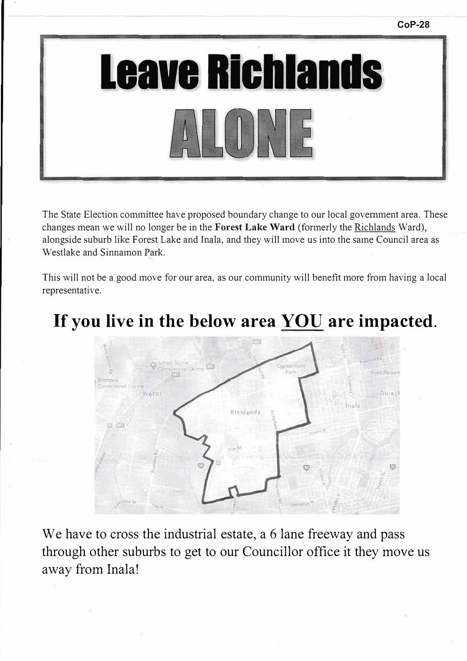



The State Election committee have proposed boundary change to our local government area. These changes mean we will no longer be in the **Forest Lake Ward** (formerly the Richlands Ward), alongside suburb 1ike Forest Lake and lnala, and they will move us into the same Council area as Westlake and Sinnamon Park.

This will not be a good move for our area, as our community will benefit more from having a local representative.

## **If you live in the below area YOU are impacted.**



We have to cross the industrial estate, a 6 lane freeway and pass through other suburbs to get to our Councillor office it they move us away from Inala!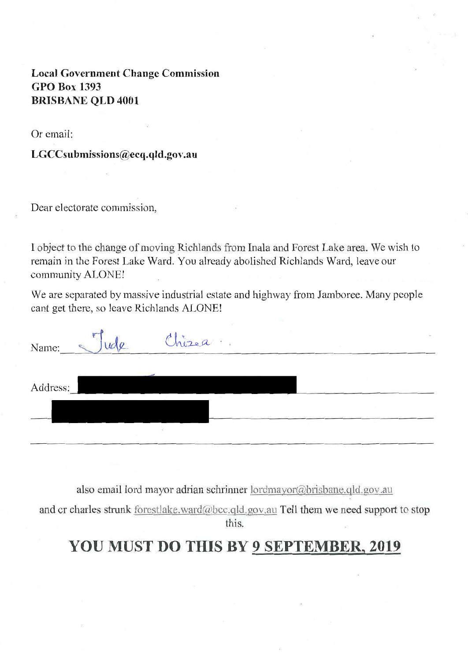Local Government Change Commission GPO Box 1393 BRISBANE QLD 4001

Or email:

LGCCsubmissions@ecq.qld.gov.au

Dear electorate commission,

I object to the change of moving Richlands from Inala and Forest Lake area. We wish to remain in the Forest Lake Ward. You already abolished Richlands Ward, leave our community ALONE!

We are separated by massive industrial estate and highway from Jamboree. Many people cant get there, so leave Richlands ALONE!

| Name:    | UC   | Chizea | 盛 |
|----------|------|--------|---|
| Address: |      |        |   |
|          | 1957 |        |   |

also email lord mayor adrian schrinner lordmayor@brisbane.qld.gov.au

and cr charles strunk forestlake.ward@bcc.qld.gov.au Tell them we need support to stop this.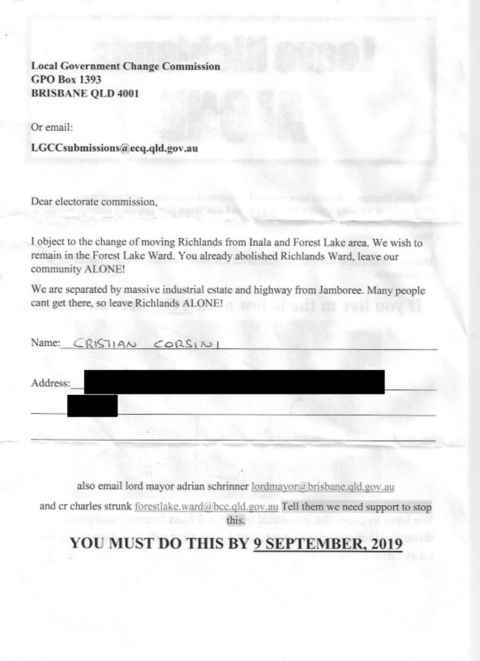**Local Government Change Commission GPO Box 1393 BRISBANE QLD 4001** 

Or email:

LGCCsubmissions@ecq.qld.gov.au

Dear electorate commission.

I object to the change of moving Richlands from Inala and Forest Lake area. We wish to remain in the Forest Lake Ward. You already abolished Richlands Ward, leave our community ALONE!

We are separated by massive industrial estate and highway from Jamboree. Many people cant get there, so leave Richlands ALONE!

|          | Name: $CRISTIAN \ CoRS(N)$ |  |
|----------|----------------------------|--|
| Address: |                            |  |
|          |                            |  |
|          |                            |  |

also email lord mayor adrian schrinner lordmayor@brisbane.qld.gov.au

and cr charles strunk forestlake.ward@bcc.qld.gov.au Tell them we need support to stop this, but an international ocni amstro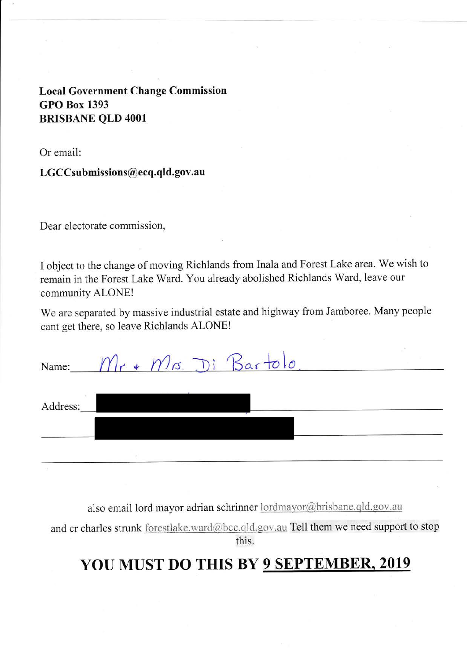#### **Local Government Change Commission GPO Box 1393 BRISBANE OLD 4001**

Or email:

#### LGCCsubmissions@ecq.qld.gov.au

Dear electorate commission,

I object to the change of moving Richlands from Inala and Forest Lake area. We wish to remain in the Forest Lake Ward. You already abolished Richlands Ward, leave our community ALONE!

We are separated by massive industrial estate and highway from Jamboree. Many people cant get there, so leave Richlands ALONE!

| Name:    | $r * Ms$ . Di Bartolo |  |
|----------|-----------------------|--|
| Address: |                       |  |
|          |                       |  |

also email lord mayor adrian schrinner lordmayor@brisbane.qld.gov.au

and cr charles strunk forestlake.ward@bcc.qld.gov.au Tell them we need support to stop this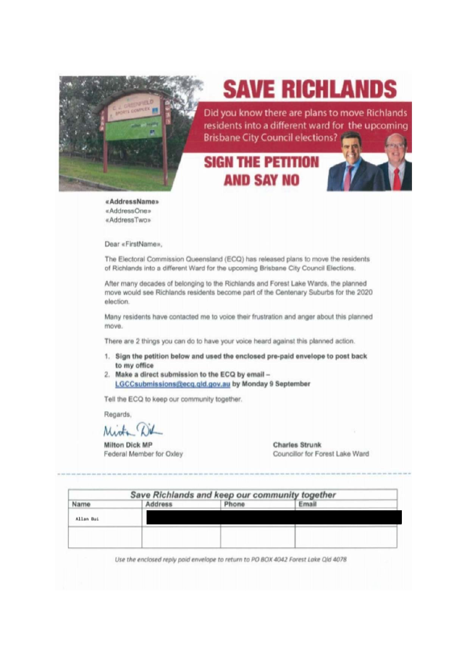

# **SAVE RICHLANDS**

Did you know there are plans to move Richlands residents into a different ward for the upcoming **Brisbane City Council elections?** 

### **SIGN THE PETITION AND SAY NO**



«AddressName» «AddressOne» «AddressTwo»

Dear «FirstName».

The Electoral Commission Queensland (ECQ) has released plans to move the residents of Richlands into a different Ward for the upcoming Brisbane City Council Elections.

After many decades of belonging to the Richlands and Forest Lake Wards, the planned move would see Richlands residents become part of the Centenary Suburbs for the 2020 election.

Many residents have contacted me to voice their frustration and anger about this planned move.

There are 2 things you can do to have your voice heard against this planned action.

- 1. Sign the petition below and used the enclosed pre-paid envelope to post back to my office
- 2. Make a direct submission to the ECQ by email -LGCCsubmissions@ecq.gld.gov.au by Monday 9 September

Tell the ECQ to keep our community together.

Regards,

Mich

**Milton Dick MP** Federal Member for Oxley **Charles Strunk** Councillor for Forest Lake Ward

|           |                | Save Richlands and keep our community together |       |  |
|-----------|----------------|------------------------------------------------|-------|--|
| Name      | <b>Address</b> | Phone                                          | Email |  |
| Allan Bui |                |                                                |       |  |
|           |                |                                                |       |  |
|           |                |                                                |       |  |

Use the enclosed reply paid envelope to return to PO BOX 4042 Forest Lake Qld 4078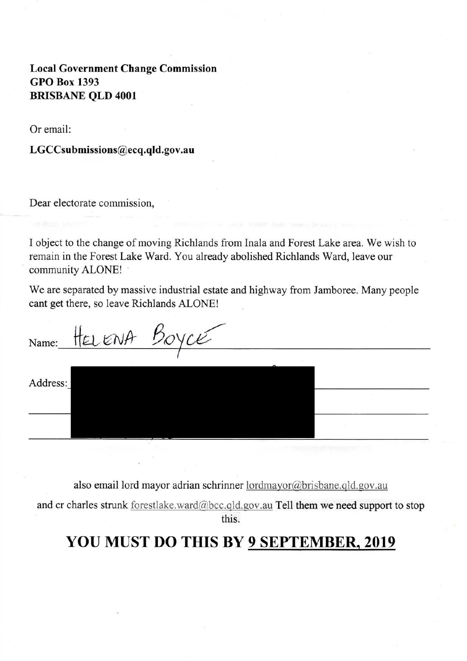**Local Government Change Commission GPO Box 1393 BRISBANE OLD 4001** 

Or email:

LGCCsubmissions@ecq.qld.gov.au

Dear electorate commission,

I object to the change of moving Richlands from Inala and Forest Lake area. We wish to remain in the Forest Lake Ward. You already abolished Richlands Ward, leave our community ALONE!

We are separated by massive industrial estate and highway from Jamboree. Many people cant get there, so leave Richlands ALONE!

HELENA Name: Address:

also email lord mayor adrian schrinner lordmayor@brisbane.qld.gov.au

and cr charles strunk forestlake.ward@bcc.qld.gov.au Tell them we need support to stop this.